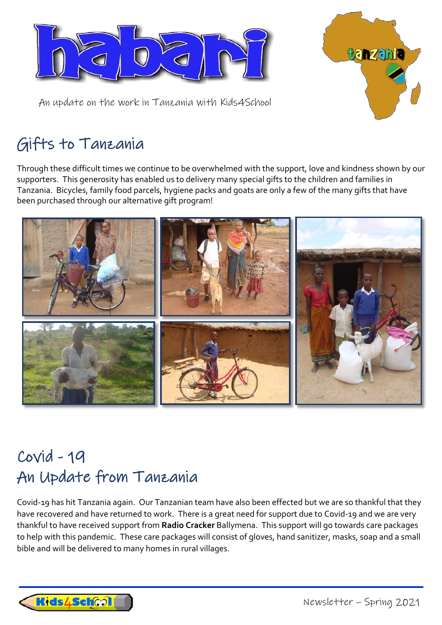



An update on the work in Tanzania with Kids4School

## Gifts to Tanzania

Through these difficult times we continue to be overwhelmed with the support, love and kindness shown by our supporters. This generosity has enabled us to delivery many special gifts to the children and families in Tanzania. Bicycles, family food parcels, hygiene packs and goats are only a few of the many gifts that have been purchased through our alternative gift program!



## Covid - 19 An Update from Tanzania

Covid-19 has hit Tanzania again. Our Tanzanian team have also been effected but we are so thankful that they have recovered and have returned to work. There is a great need for support due to Covid-19 and we are very thankful to have received support from **Radio Cracker** Ballymena. This support will go towards care packages to help with this pandemic. These care packages will consist of gloves, hand sanitizer, masks, soap and a small bible and will be delivered to many homes in rural villages.

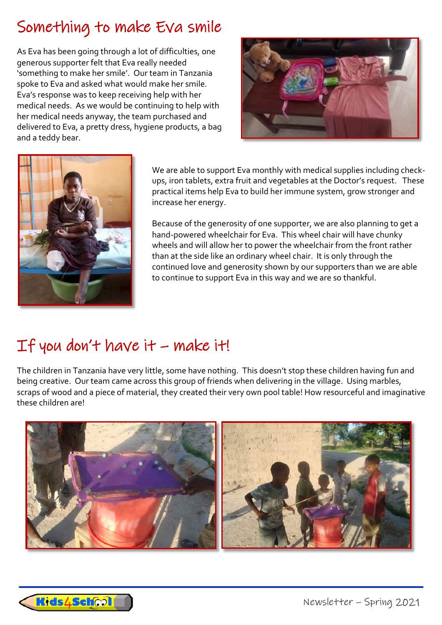## Something to make Eva smile

As Eva has been going through a lot of difficulties, one generous supporter felt that Eva really needed 'something to make her smile'. Our team in Tanzania spoke to Eva and asked what would make her smile. Eva's response was to keep receiving help with her medical needs. As we would be continuing to help with her medical needs anyway, the team purchased and delivered to Eva, a pretty dress, hygiene products, a bag and a teddy bear.





We are able to support Eva monthly with medical supplies including checkups, iron tablets, extra fruit and vegetables at the Doctor's request. These practical items help Eva to build her immune system, grow stronger and increase her energy.

Because of the generosity of one supporter, we are also planning to get a hand-powered wheelchair for Eva. This wheel chair will have chunky wheels and will allow her to power the wheelchair from the front rather than at the side like an ordinary wheel chair. It is only through the continued love and generosity shown by our supporters than we are able to continue to support Eva in this way and we are so thankful.

# If you don't have  $it$  – make  $it!$

The children in Tanzania have very little, some have nothing. This doesn't stop these children having fun and being creative. Our team came across this group of friends when delivering in the village. Using marbles, scraps of wood and a piece of material, they created their very own pool table! How resourceful and imaginative these children are!



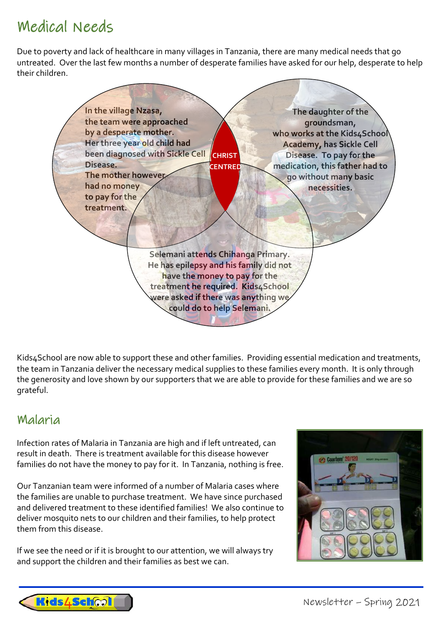### Medical Needs

Due to poverty and lack of healthcare in many villages in Tanzania, there are many medical needs that go untreated. Over the last few months a number of desperate families have asked for our help, desperate to help their children.



Kids4School are now able to support these and other families. Providing essential medication and treatments, the team in Tanzania deliver the necessary medical supplies to these families every month. It is only through the generosity and love shown by our supporters that we are able to provide for these families and we are so grateful.

#### Malaria

Infection rates of Malaria in Tanzania are high and if left untreated, can result in death. There is treatment available for this disease however families do not have the money to pay for it. In Tanzania, nothing is free.

Our Tanzanian team were informed of a number of Malaria cases where the families are unable to purchase treatment. We have since purchased and delivered treatment to these identified families! We also continue to deliver mosquito nets to our children and their families, to help protect them from this disease.

If we see the need or if it is brought to our attention, we will always try and support the children and their families as best we can.